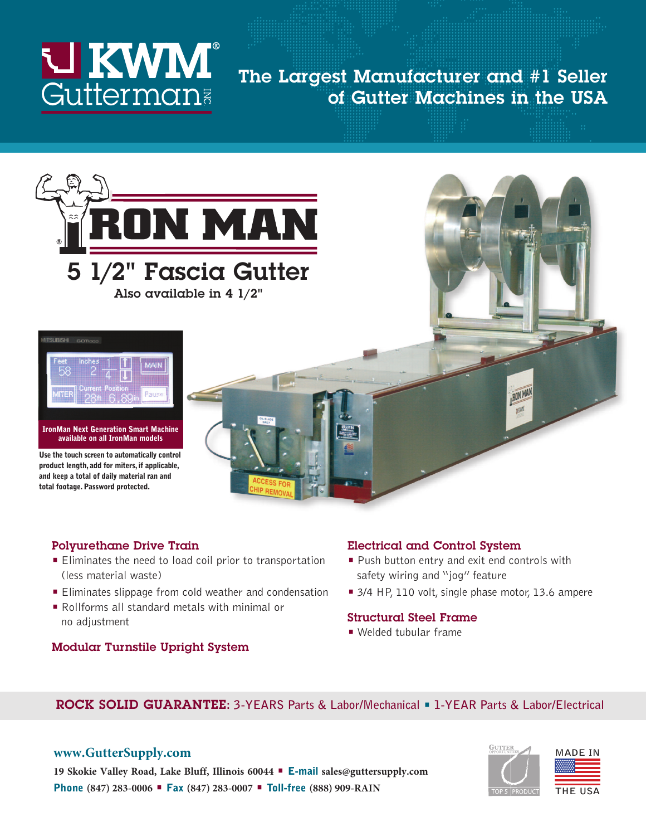

## **The Largest Manufacturer and #1 Seller of Gutter Machines in the USA**



**Also available in 4 1/2"**



**IronMan Next Generation Smart Machine available on all IronMan models**

**Use the touch screen to automatically control product length, add for miters, if applicable, and keep a total of daily material ran and total footage. Password protected.** 

#### **Polyurethane Drive Train**

- **•** Eliminates the need to load coil prior to transportation (less material waste)
- **•** Eliminates slippage from cold weather and condensation
- **•** Rollforms all standard metals with minimal or no adjustment

### **Modular Turnstile Upright System**

#### **Electrical and Control System**

- **•** Push button entry and exit end controls with safety wiring and "jog" feature
- **•** 3/4 HP, 110 volt, single phase motor, 13.6 ampere

**ROIN MAN** n KV.

#### **Structural Steel Frame**

**•** Welded tubular frame

#### **ROCK SOLID GUARANTEE: 3-YEARS Parts & Labor/Mechanical • 1-YEAR Parts & Labor/Electrical**

#### **www.GutterSupply.com**





**19 Skokie Valley Road, Lake Bluff, Illinois 60044 • E-mail sales@guttersupply.com Phone (847) 283-0006 • Fax (847) 283-0007 • Toll-free (888) 909-RAIN**